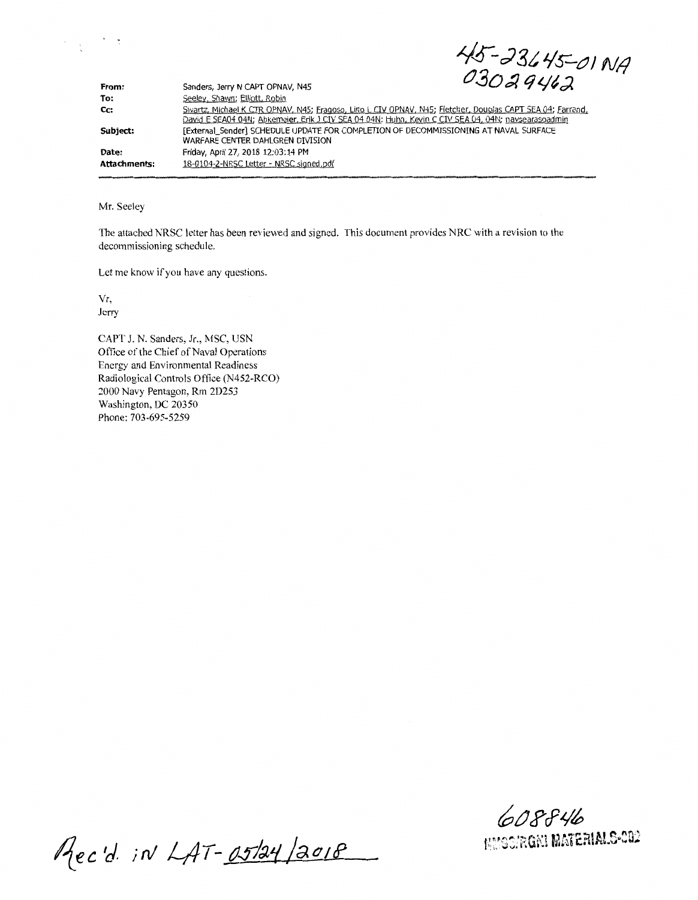$45 - 23645 - 0119$  $03029462$ 

| From:        | Sanders, Jerry N CAPT OPNAV, N45                                                                                                                                                                                 | 0.5089962 |
|--------------|------------------------------------------------------------------------------------------------------------------------------------------------------------------------------------------------------------------|-----------|
| To:          | Seeley, Shawn; Elliott, Robin                                                                                                                                                                                    |           |
| Cc:          | Swartz, Michael K CTR OPNAV, N45; Fragoso, Lino L CIV OPNAV, N45; Fletcher, Douglas CAPT SEA 04; Farrand,<br>David E SEA04 04N; Abkemeier, Erik J CIV SEA 04 04N; Huhn, Kevin C CIV SEA 04, 04N; navsearasoadmin |           |
| Subject:     | [External Sender] SCHEDULE UPDATE FOR COMPLETION OF DECOMMISSIONING AT NAVAL SURFACE<br>WARFARE CENTER DAHLGREN DIVISION                                                                                         |           |
| Date:        | Friday, April 27, 2018 12:03:14 PM                                                                                                                                                                               |           |
| Attachments: | 18-0104-2-NRSC Letter - NRSC signed.pdf                                                                                                                                                                          |           |

Mr. Seeley

 $\mathcal{L}_{\text{max}} = \frac{1}{2} \sum_{i=1}^{2} \frac{1}{i} \sum_{j=1}^{2} \frac{1}{j}$ 

The attached NRSC letter has been reviewed and signed. This document provides NRC with a revision to the decommissioning schedule.

Let me know if you have any questions.

Yr,

Jerry

CAPT J. N. Sanders, Jr., MSC, USN Office of the Chief of Naval Operations Energy and Environmental Readiness Radiological Controls Office (N452-RCO) 2000 Navy Pentagon, Rm 2D253 Washington, DC 20350 Phone: 703-695-5259

**6tJJ>rf~~**  F~.~s::RGKi **Mti1.E.rtlAL!>:02** 

Rec'd. in LAT-05/24/2018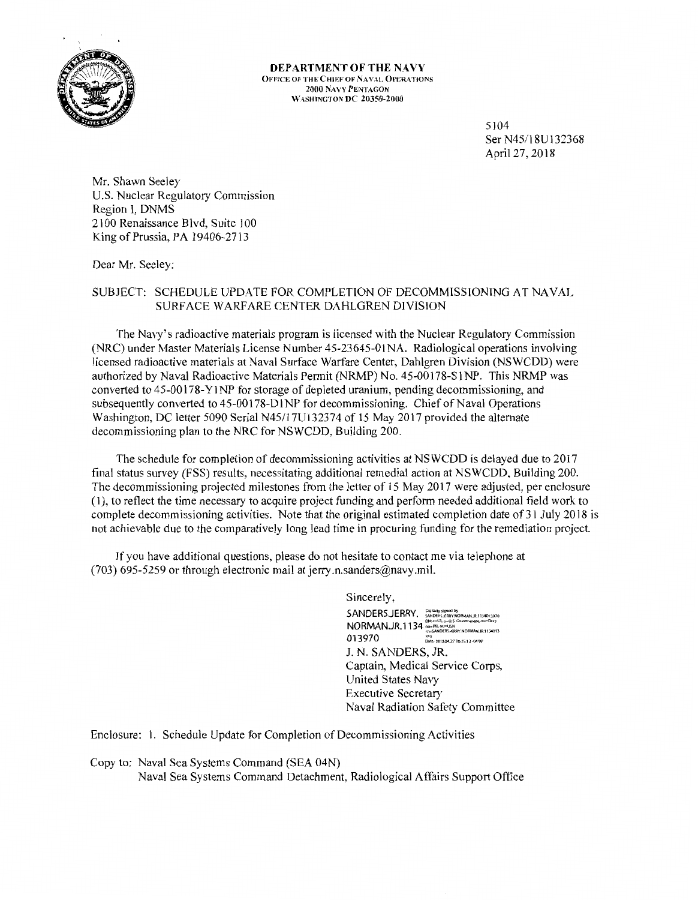

**DEPARTMENT OF THE NAVY** OFFICE OF THE CHIEF OF NAVAL OPERATIONS 2000 NAVY PENTAGON WASHINGTON **DC** 20350-2000

> 5104 Ser N45/18U132368 April 27, 2018

Mr. Shawn Seeley U.S. Nuclear Regulatory Commission Region I, DNMS 2100 Renaissance Blvd, Suite 100 King of Prussia, PA 19406-2713

Dear Mr. Seeley:

## SUBJECT: SCHEDULE UPDATE FOR COMPLETION OF DECOMMISSIONING AT NAVAL SURF ACE WARF ARE CENTER DAHLGREN DIVISION

The Navy's radioactive materials program is licensed with the Nuclear Regulatory Commission (NRC) under Master Materials License Number 45-23645-0lNA. Radiological operations involving licensed radioactive materials at Naval Surface Warfare Center, Dahlgren Division (NSWCDD) were authorized by Naval Radioactive Materials Permit (NRMP) No. 45-00178-SlNP. This NRMP was converted to 45-00178-Y 1 NP for storage of depleted uranium, pending decommissioning, and subsequently converted to 45-00178-DlNP for decommissioning. Chief of Naval Operations Washington, DC letter 5090 Serial N45/17U132374 of 15 May 2017 provided the alternate decommissioning plan to the NRC for NSWCDD, Building 200.

The schedule for completion of decommissioning activities at NSWCDD is delayed due to 2017 final status survey (FSS) results, necessitating additional remedial action at NSWCDD, Building 200. The decommissioning projected milestones from the letter of 15 May 2017 were adjusted, per enclosure ( 1 ), to reflect the time necessary to acquire project funding and perform needed additional field work to complete decommissioning activities. Note that the original estimated completion date of 31 July 2018 is not achievable due to the comparatively long lead time in procuring funding for the remediation project.

If you have additional questions, please do not hesitate to contact me via telephone at (703) 695-5259 or through electronic mail at jerry.n.sanders@navy.mil.

> Sincerely, SANDERS.JERRY. **Expirally signed by**<br>ANDERS.JERRY. **SANDERS.JEFF.COMPANATION NQRMAN.JR.1134** :::;;~~,:::Go,~o=oco,•DoD cn"'~NDERS.JERRY.NORMAN.JR 1134013 013970 ::.20,So<V,o,ssn-o<·OO' **J. N. SANDERS, JR.**  Captain, Medical Service Corps, United States Navy Executive Secretary Naval Radiation Safety Committee

Enclosure: 1. Schedule Update for Completion of Decommissioning Activities

Copy to: Naval Sea Systems Command (SEA 04N)

Naval Sea Systems Command Detachment, Radiological Affairs Support Office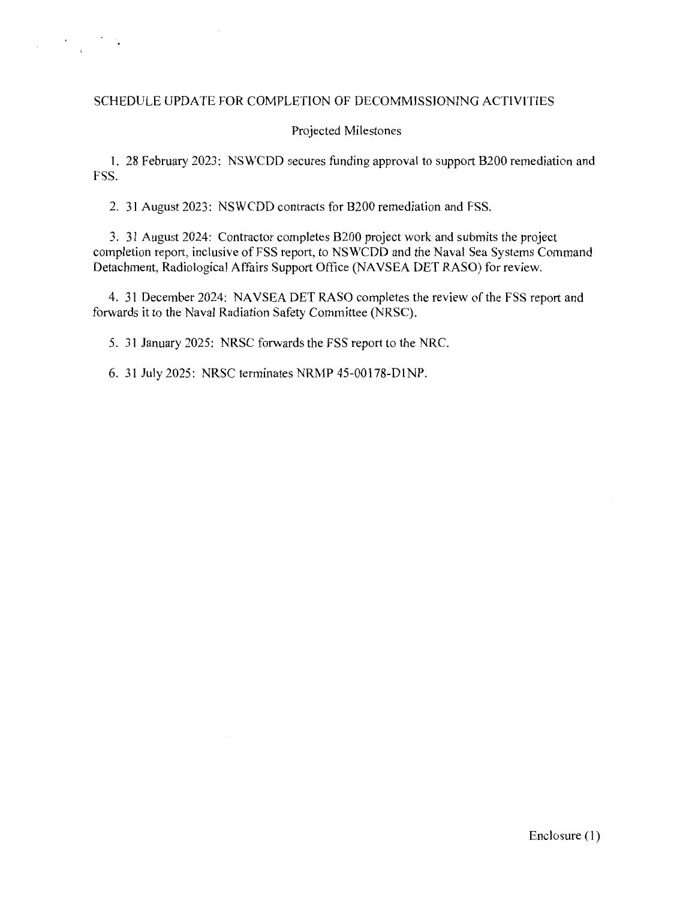## SCHEDULE UPDATE FOR COMPLETION OF DECOMMISSIONING ACTIVITIES

## Projected Milestones

1. 28 February 2023: NSWCDD secures funding approval to support B200 remediation and FSS.

2. 31 August 2023: NSWCDD contracts for B200 remediation and FSS.

3. 31 August 2024: Contractor completes B200 project work and submits the project completion report, inclusive of FSS report, to NSWCDD and the Naval Sea Systems Command Detachment, Radiological Affairs Support Office (NAVSEA DET RASO) for review.

4. 31 December 2024: NAVSEA DET RASO completes the review of the FSS report and forwards it to the Naval Radiation Safety Committee (NRSC).

5. 31 January 2025: NRSC forwards the FSS report to the NRC.

6. 31 July 2025: NRSC terminates NRMP 45-00178-DlNP.